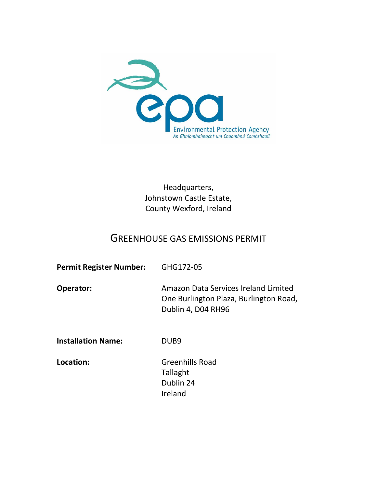

Headquarters, Johnstown Castle Estate, County Wexford, Ireland

# GREENHOUSE GAS EMISSIONS PERMIT

| <b>Permit Register Number:</b> | GHG172-05                                                                                            |
|--------------------------------|------------------------------------------------------------------------------------------------------|
| <b>Operator:</b>               | Amazon Data Services Ireland Limited<br>One Burlington Plaza, Burlington Road,<br>Dublin 4, D04 RH96 |
| <b>Installation Name:</b>      | DUB <sub>9</sub>                                                                                     |
| Location:                      | <b>Greenhills Road</b><br>エュリュュト+                                                                    |

Tallaght Dublin 24 Ireland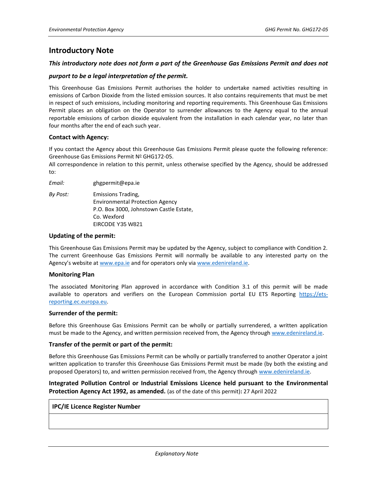## **Introductory Note**

### *This introductory note does not form a part of the Greenhouse Gas Emissions Permit and does not*

### *purport to be a legal interpretation of the permit.*

This Greenhouse Gas Emissions Permit authorises the holder to undertake named activities resulting in emissions of Carbon Dioxide from the listed emission sources. It also contains requirements that must be met in respect of such emissions, including monitoring and reporting requirements. This Greenhouse Gas Emissions Permit places an obligation on the Operator to surrender allowances to the Agency equal to the annual reportable emissions of carbon dioxide equivalent from the installation in each calendar year, no later than four months after the end of each such year.

### **Contact with Agency:**

If you contact the Agency about this Greenhouse Gas Emissions Permit please quote the following reference: Greenhouse Gas Emissions Permit Nº GHG172-05.

All correspondence in relation to this permit, unless otherwise specified by the Agency, should be addressed to:

*Email:* ghgpermit@epa.ie

*By Post:* Emissions Trading, Environmental Protection Agency P.O. Box 3000, Johnstown Castle Estate, Co. Wexford EIRCODE Y35 W821

### **Updating of the permit:**

This Greenhouse Gas Emissions Permit may be updated by the Agency, subject to compliance with Condition 2. The current Greenhouse Gas Emissions Permit will normally be available to any interested party on the Agency's website at [www.epa.ie](http://www.epa.ie/) and for operators only vi[a www.edenireland.ie.](http://www.edenireland.ie/)

### **Monitoring Plan**

The associated Monitoring Plan approved in accordance with Condition 3.1 of this permit will be made available to operators and verifiers on the European Commission portal EU ETS Reporting [https://ets](https://ets-reporting.ec.europa.eu/)[reporting.ec.europa.eu.](https://ets-reporting.ec.europa.eu/)

### **Surrender of the permit:**

Before this Greenhouse Gas Emissions Permit can be wholly or partially surrendered, a written application must be made to the Agency, and written permission received from, the Agency throug[h www.edenireland.ie.](http://www.edenireland.ie/)

### **Transfer of the permit or part of the permit:**

Before this Greenhouse Gas Emissions Permit can be wholly or partially transferred to another Operator a joint written application to transfer this Greenhouse Gas Emissions Permit must be made (by both the existing and proposed Operators) to, and written permission received from, the Agency throug[h www.edenireland.ie.](http://www.edenireland.ie/)

## **Integrated Pollution Control or Industrial Emissions Licence held pursuant to the Environmental Protection Agency Act 1992, as amended.** (as of the date of this permit)**:** 27 April 2022

### **IPC/IE Licence Register Number**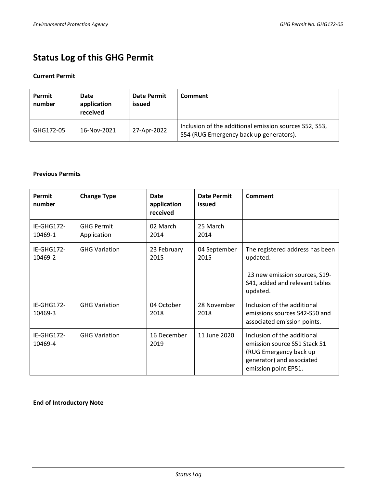# **Status Log of this GHG Permit**

## **Current Permit**

| Permit<br>number | Date<br>application<br>received | <b>Date Permit</b><br>issued | Comment                                                                                           |
|------------------|---------------------------------|------------------------------|---------------------------------------------------------------------------------------------------|
| GHG172-05        | 16-Nov-2021                     | 27-Apr-2022                  | Inclusion of the additional emission sources S52, S53,<br>S54 (RUG Emergency back up generators). |

## **Previous Permits**

| Permit<br>number      | <b>Change Type</b>               | Date<br>application<br>received | Date Permit<br>issued | <b>Comment</b>                                                                                                                             |
|-----------------------|----------------------------------|---------------------------------|-----------------------|--------------------------------------------------------------------------------------------------------------------------------------------|
| IE-GHG172-<br>10469-1 | <b>GHG Permit</b><br>Application | 02 March<br>2014                | 25 March<br>2014      |                                                                                                                                            |
| IE-GHG172-<br>10469-2 | <b>GHG Variation</b>             | 23 February<br>2015             | 04 September<br>2015  | The registered address has been<br>updated.<br>23 new emission sources, S19-<br>S41, added and relevant tables<br>updated.                 |
| IE-GHG172-<br>10469-3 | <b>GHG Variation</b>             | 04 October<br>2018              | 28 November<br>2018   | Inclusion of the additional<br>emissions sources S42-S50 and<br>associated emission points.                                                |
| IE-GHG172-<br>10469-4 | <b>GHG Variation</b>             | 16 December<br>2019             | 11 June 2020          | Inclusion of the additional<br>emission source S51 Stack 51<br>(RUG Emergency back up<br>generator) and associated<br>emission point EP51. |

**End of Introductory Note**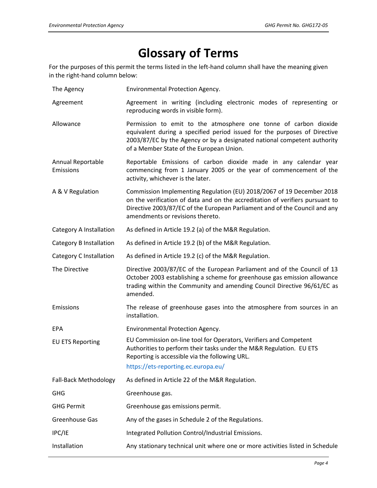# **Glossary of Terms**

For the purposes of this permit the terms listed in the left-hand column shall have the meaning given in the right-hand column below:

- The Agency Environmental Protection Agency.
- Agreement Agreement in writing (including electronic modes of representing or reproducing words in visible form).
- Allowance Permission to emit to the atmosphere one tonne of carbon dioxide equivalent during a specified period issued for the purposes of Directive 2003/87/EC by the Agency or by a designated national competent authority of a Member State of the European Union.
- Annual Reportable Emissions Reportable Emissions of carbon dioxide made in any calendar year commencing from 1 January 2005 or the year of commencement of the activity, whichever is the later.
- A & V Regulation Commission Implementing Regulation (EU) 2018/2067 of 19 December 2018 on the verification of data and on the accreditation of verifiers pursuant to Directive 2003/87/EC of the European Parliament and of the Council and any amendments or revisions thereto.

Category A Installation As defined in Article 19.2 (a) of the M&R Regulation.

Category B Installation As defined in Article 19.2 (b) of the M&R Regulation.

Category C Installation As defined in Article 19.2 (c) of the M&R Regulation.

The Directive Directive 2003/87/EC of the European Parliament and of the Council of 13 October 2003 establishing a scheme for greenhouse gas emission allowance trading within the Community and amending Council Directive 96/61/EC as amended.

Emissions The release of greenhouse gases into the atmosphere from sources in an

installation.

EPA Environmental Protection Agency.

EU ETS Reporting EU Commission on-line tool for Operators, Verifiers and Competent Authorities to perform their tasks under the M&R Regulation. EU ETS Reporting is accessible via the following URL.

## https://ets-reporting.ec.europa.eu/

Fall-Back Methodology As defined in Article 22 of the M&R Regulation. GHG Greenhouse gas. GHG Permit Greenhouse gas emissions permit. Greenhouse Gas Any of the gases in Schedule 2 of the Regulations. IPC/IE Integrated Pollution Control/Industrial Emissions. Installation Any stationary technical unit where one or more activities listed in Schedule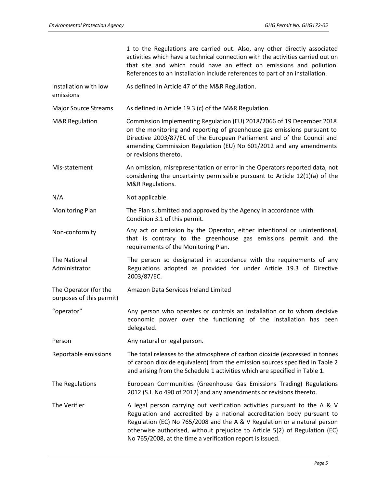1 to the Regulations are carried out. Also, any other directly associated activities which have a technical connection with the activities carried out on that site and which could have an effect on emissions and pollution. References to an installation include references to part of an installation.

Installation with low As defined in Article 47 of the M&R Regulation.

emissions

Major Source Streams As defined in Article 19.3 (c) of the M&R Regulation.

- M&R Regulation Commission Implementing Regulation (EU) 2018/2066 of 19 December 2018 on the monitoring and reporting of greenhouse gas emissions pursuant to Directive 2003/87/EC of the European Parliament and of the Council and amending Commission Regulation (EU) No 601/2012 and any amendments or revisions thereto.
- Mis-statement An omission, misrepresentation or error in the Operators reported data, not considering the uncertainty permissible pursuant to Article 12(1)(a) of the M&R Regulations.
- N/A Not applicable.

Monitoring Plan The Plan submitted and approved by the Agency in accordance with Condition 3.1 of this permit.

Non-conformity Any act or omission by the Operator, either intentional or unintentional, that is contrary to the greenhouse gas emissions permit and the requirements of the Monitoring Plan.

The National Administrator The person so designated in accordance with the requirements of any Regulations adopted as provided for under Article 19.3 of Directive 2003/87/EC.

The Operator (for the Amazon Data Services Ireland Limited

delegated.

purposes of this permit) "operator" Any person who operates or controls an installation or to whom decisive economic power over the functioning of the installation has been

Person Any natural or legal person.

Reportable emissions The total releases to the atmosphere of carbon dioxide (expressed in tonnes of carbon dioxide equivalent) from the emission sources specified in Table 2 and arising from the Schedule 1 activities which are specified in Table 1.

- The Regulations European Communities (Greenhouse Gas Emissions Trading) Regulations 2012 (S.I. No 490 of 2012) and any amendments or revisions thereto.
- The Verifier **A** legal person carrying out verification activities pursuant to the A & V Regulation and accredited by a national accreditation body pursuant to Regulation (EC) No 765/2008 and the A & V Regulation or a natural person otherwise authorised, without prejudice to Article 5(2) of Regulation (EC) No 765/2008, at the time a verification report is issued.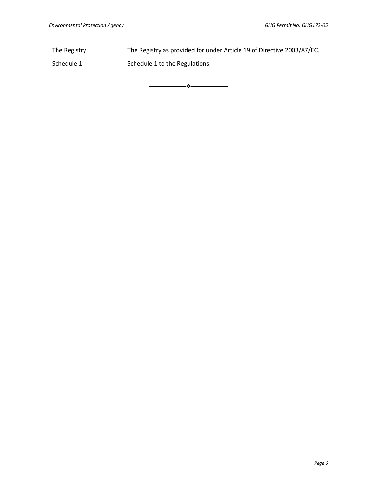The Registry The Registry as provided for under Article 19 of Directive 2003/87/EC.

⎯⎯⎯⎯⎯⎯❖⎯⎯⎯⎯⎯⎯

Schedule 1 Schedule 1 to the Regulations.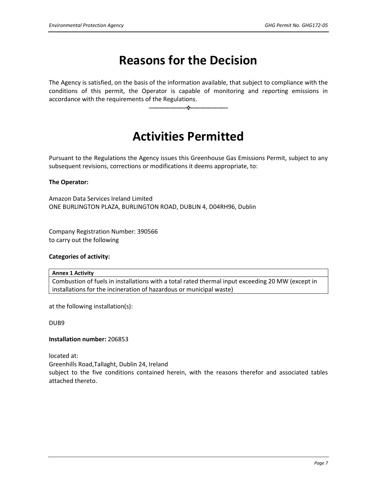# **Reasons for the Decision**

The Agency is satisfied, on the basis of the information available, that subject to compliance with the conditions of this permit, the Operator is capable of monitoring and reporting emissions in accordance with the requirements of the Regulations.

⎯⎯⎯⎯⎯⎯❖⎯⎯⎯⎯⎯⎯

# **Activities Permitted**

Pursuant to the Regulations the Agency issues this Greenhouse Gas Emissions Permit, subject to any subsequent revisions, corrections or modifications it deems appropriate, to:

### **The Operator:**

Amazon Data Services Ireland Limited ONE BURLINGTON PLAZA, BURLINGTON ROAD, DUBLIN 4, D04RH96, Dublin

Company Registration Number: 390566 to carry out the following

### **Categories of activity:**

### **Annex 1 Activity**

Combustion of fuels in installations with a total rated thermal input exceeding 20 MW (except in installations for the incineration of hazardous or municipal waste)

at the following installation(s):

DUB9

### **Installation number:** 206853

located at:

Greenhills Road,Tallaght, Dublin 24, Ireland subject to the five conditions contained herein, with the reasons therefor and associated tables attached thereto.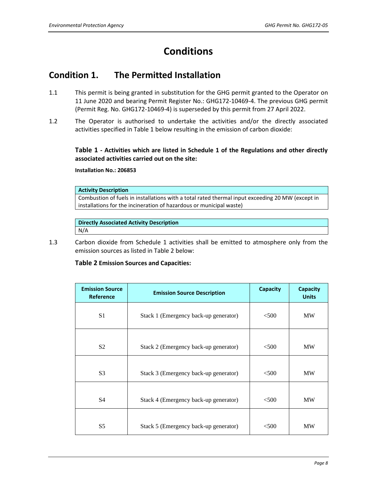# **Conditions**

# **Condition 1. The Permitted Installation**

- 1.1 This permit is being granted in substitution for the GHG permit granted to the Operator on 11 June 2020 and bearing Permit Register No.: GHG172-10469-4. The previous GHG permit (Permit Reg. No. GHG172-10469-4) is superseded by this permit from 27 April 2022.
- 1.2 The Operator is authorised to undertake the activities and/or the directly associated activities specified in Table 1 below resulting in the emission of carbon dioxide:

**Table 1 - Activities which are listed in Schedule 1 of the Regulations and other directly associated activities carried out on the site:**

**Installation No.: 206853**

### **Activity Description**

Combustion of fuels in installations with a total rated thermal input exceeding 20 MW (except in installations for the incineration of hazardous or municipal waste)

**Directly Associated Activity Description** N/A

1.3 Carbon dioxide from Schedule 1 activities shall be emitted to atmosphere only from the emission sources as listed in Table 2 below:

## **Table 2 Emission Sources and Capacities:**

| <b>Emission Source</b><br><b>Reference</b> | <b>Emission Source Description</b>    | <b>Capacity</b> | Capacity<br><b>Units</b> |
|--------------------------------------------|---------------------------------------|-----------------|--------------------------|
| S <sub>1</sub>                             | Stack 1 (Emergency back-up generator) | < 500           | <b>MW</b>                |
| S <sub>2</sub>                             | Stack 2 (Emergency back-up generator) | < 500           | <b>MW</b>                |
| S <sub>3</sub>                             | Stack 3 (Emergency back-up generator) | $<$ 500         | <b>MW</b>                |
| S <sub>4</sub>                             | Stack 4 (Emergency back-up generator) | < 500           | <b>MW</b>                |
| S <sub>5</sub>                             | Stack 5 (Emergency back-up generator) | $<$ 500         | MW                       |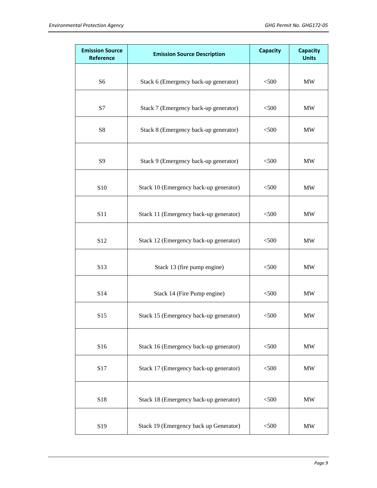| <b>Emission Source</b><br>Reference | <b>Emission Source Description</b>     | <b>Capacity</b> | <b>Capacity</b><br><b>Units</b> |
|-------------------------------------|----------------------------------------|-----------------|---------------------------------|
| S <sub>6</sub>                      | Stack 6 (Emergency back-up generator)  | < 500           | <b>MW</b>                       |
| S7                                  | Stack 7 (Emergency back-up generator)  | < 500           | <b>MW</b>                       |
| S8                                  | Stack 8 (Emergency back-up generator)  | $<$ 500         | <b>MW</b>                       |
| S9                                  | Stack 9 (Emergency back-up generator)  | < 500           | <b>MW</b>                       |
| S10                                 | Stack 10 (Emergency back-up generator) | < 500           | MW                              |
| S11                                 | Stack 11 (Emergency back-up generator) | < 500           | <b>MW</b>                       |
| S12                                 | Stack 12 (Emergency back-up generator) | < 500           | <b>MW</b>                       |
| S13                                 | Stack 13 (fire pump engine)            | < 500           | <b>MW</b>                       |
| S14                                 | Stack 14 (Fire Pump engine)            | $<$ 500         | <b>MW</b>                       |
| S15                                 | Stack 15 (Emergency back-up generator) | < 500           | <b>MW</b>                       |
| S16                                 | Stack 16 (Emergency back-up generator) | < 500           | MW                              |
| S17                                 | Stack 17 (Emergency back-up generator) | < 500           | <b>MW</b>                       |
| S18                                 | Stack 18 (Emergency back-up generator) | < 500           | MW                              |
| S19                                 | Stack 19 (Emergency back up Generator) | $<$ 500         | <b>MW</b>                       |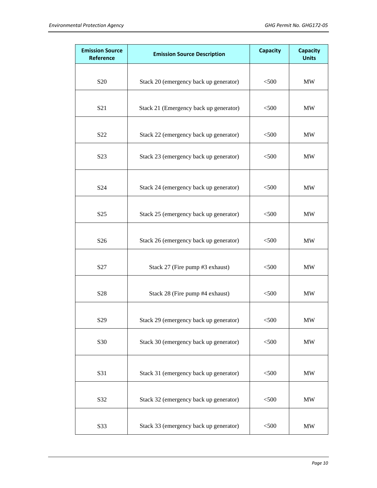| <b>Emission Source</b><br>Reference | <b>Emission Source Description</b>     | <b>Capacity</b> | <b>Capacity</b><br><b>Units</b> |
|-------------------------------------|----------------------------------------|-----------------|---------------------------------|
| S <sub>20</sub>                     | Stack 20 (emergency back up generator) | < 500           | <b>MW</b>                       |
|                                     |                                        |                 |                                 |
| S <sub>21</sub>                     | Stack 21 (Emergency back up generator) | < 500           | MW                              |
| S22                                 | Stack 22 (emergency back up generator) | < 500           | MW                              |
| S23                                 | Stack 23 (emergency back up generator) | < 500           | MW                              |
| S24                                 | Stack 24 (emergency back up generator) | < 500           | <b>MW</b>                       |
| S <sub>25</sub>                     | Stack 25 (emergency back up generator) | < 500           | <b>MW</b>                       |
| S <sub>26</sub>                     | Stack 26 (emergency back up generator) | < 500           | MW                              |
| S27                                 | Stack 27 (Fire pump #3 exhaust)        | $<$ 500         | <b>MW</b>                       |
| S28                                 | Stack 28 (Fire pump #4 exhaust)        | $<$ 500 $\,$    | MW                              |
| S <sub>29</sub>                     | Stack 29 (emergency back up generator) | $<$ 500         | MW                              |
| S30                                 | Stack 30 (emergency back up generator) | $<$ 500 $\,$    | $\ensuremath{\text{MW}}\xspace$ |
| S31                                 | Stack 31 (emergency back up generator) | $<$ 500 $\,$    | $\ensuremath{\text{MW}}\xspace$ |
| S32                                 | Stack 32 (emergency back up generator) | $<$ 500 $\,$    | $\ensuremath{\text{MW}}\xspace$ |
| S33                                 | Stack 33 (emergency back up generator) | $<$ 500 $\,$    | $\ensuremath{\text{MW}}\xspace$ |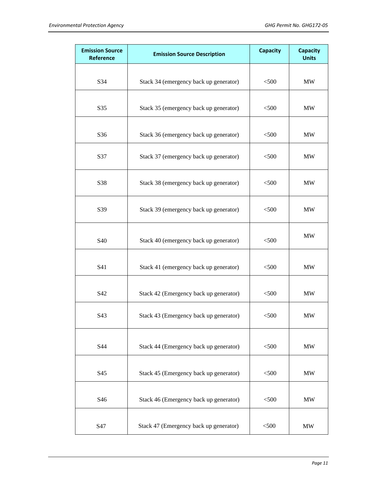| <b>Emission Source</b><br>Reference | <b>Emission Source Description</b>     | <b>Capacity</b> | <b>Capacity</b><br><b>Units</b> |
|-------------------------------------|----------------------------------------|-----------------|---------------------------------|
| S34                                 | Stack 34 (emergency back up generator) | < 500           | <b>MW</b>                       |
| S35                                 | Stack 35 (emergency back up generator) | < 500           | MW                              |
| S36                                 | Stack 36 (emergency back up generator) | < 500           | <b>MW</b>                       |
| S37                                 | Stack 37 (emergency back up generator) | < 500           | <b>MW</b>                       |
| S38                                 | Stack 38 (emergency back up generator) | < 500           | <b>MW</b>                       |
| S39                                 | Stack 39 (emergency back up generator) | < 500           | MW                              |
| S40                                 | Stack 40 (emergency back up generator) | < 500           | <b>MW</b>                       |
| S41                                 | Stack 41 (emergency back up generator) | < 500           | <b>MW</b>                       |
| S42                                 | Stack 42 (Emergency back up generator) | $<$ 500         | <b>MW</b>                       |
| S43                                 | Stack 43 (Emergency back up generator) | $<$ 500         | <b>MW</b>                       |
| S44                                 | Stack 44 (Emergency back up generator) | < 500           | MW                              |
| S45                                 | Stack 45 (Emergency back up generator) | < 500           | <b>MW</b>                       |
| S46                                 | Stack 46 (Emergency back up generator) | < 500           | MW                              |
| S47                                 | Stack 47 (Emergency back up generator) | < 500           | <b>MW</b>                       |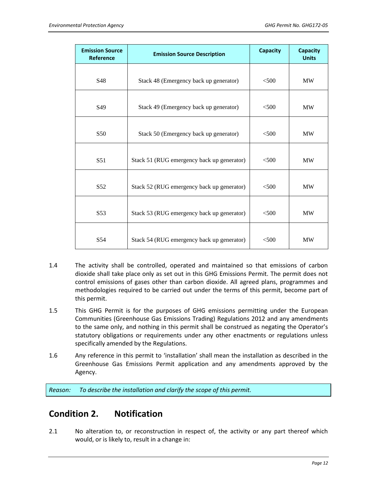| <b>Emission Source</b><br>Reference | <b>Emission Source Description</b>         | <b>Capacity</b> | <b>Capacity</b><br><b>Units</b> |
|-------------------------------------|--------------------------------------------|-----------------|---------------------------------|
|                                     |                                            |                 |                                 |
| S48                                 | Stack 48 (Emergency back up generator)     | $<$ 500         | <b>MW</b>                       |
| S49                                 | Stack 49 (Emergency back up generator)     | $<$ 500         | <b>MW</b>                       |
| S50                                 | Stack 50 (Emergency back up generator)     | $<$ 500         | <b>MW</b>                       |
| S <sub>51</sub>                     | Stack 51 (RUG emergency back up generator) | <500            | <b>MW</b>                       |
|                                     |                                            |                 |                                 |
| S <sub>52</sub>                     | Stack 52 (RUG emergency back up generator) | $<$ 500         | <b>MW</b>                       |
| S <sub>53</sub>                     | Stack 53 (RUG emergency back up generator) | $<$ 500         | <b>MW</b>                       |
| S <sub>54</sub>                     | Stack 54 (RUG emergency back up generator) | < 500           | <b>MW</b>                       |

- 1.4 The activity shall be controlled, operated and maintained so that emissions of carbon dioxide shall take place only as set out in this GHG Emissions Permit. The permit does not control emissions of gases other than carbon dioxide. All agreed plans, programmes and methodologies required to be carried out under the terms of this permit, become part of this permit.
- 1.5 This GHG Permit is for the purposes of GHG emissions permitting under the European Communities (Greenhouse Gas Emissions Trading) Regulations 2012 and any amendments to the same only, and nothing in this permit shall be construed as negating the Operator's statutory obligations or requirements under any other enactments or regulations unless specifically amended by the Regulations.
- 1.6 Any reference in this permit to 'installation' shall mean the installation as described in the Greenhouse Gas Emissions Permit application and any amendments approved by the Agency.

*Reason: To describe the installation and clarify the scope of this permit.*

# **Condition 2. Notification**

2.1 No alteration to, or reconstruction in respect of, the activity or any part thereof which would, or is likely to, result in a change in: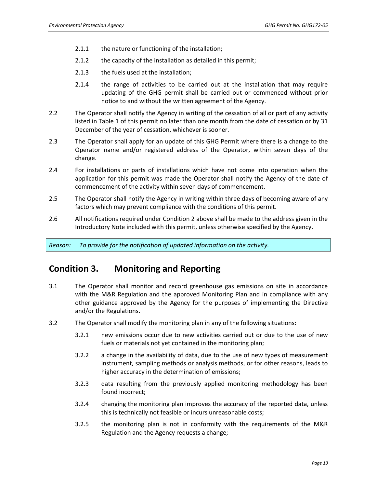- 2.1.1 the nature or functioning of the installation;
- 2.1.2 the capacity of the installation as detailed in this permit;
- 2.1.3 the fuels used at the installation;
- 2.1.4 the range of activities to be carried out at the installation that may require updating of the GHG permit shall be carried out or commenced without prior notice to and without the written agreement of the Agency.
- 2.2 The Operator shall notify the Agency in writing of the cessation of all or part of any activity listed in Table 1 of this permit no later than one month from the date of cessation or by 31 December of the year of cessation, whichever is sooner.
- 2.3 The Operator shall apply for an update of this GHG Permit where there is a change to the Operator name and/or registered address of the Operator, within seven days of the change.
- 2.4 For installations or parts of installations which have not come into operation when the application for this permit was made the Operator shall notify the Agency of the date of commencement of the activity within seven days of commencement.
- 2.5 The Operator shall notify the Agency in writing within three days of becoming aware of any factors which may prevent compliance with the conditions of this permit.
- 2.6 All notifications required under Condition 2 above shall be made to the address given in the Introductory Note included with this permit, unless otherwise specified by the Agency.

*Reason: To provide for the notification of updated information on the activity.*

# **Condition 3. Monitoring and Reporting**

- 3.1 The Operator shall monitor and record greenhouse gas emissions on site in accordance with the M&R Regulation and the approved Monitoring Plan and in compliance with any other guidance approved by the Agency for the purposes of implementing the Directive and/or the Regulations.
- 3.2 The Operator shall modify the monitoring plan in any of the following situations:
	- 3.2.1 new emissions occur due to new activities carried out or due to the use of new fuels or materials not yet contained in the monitoring plan;
	- 3.2.2 a change in the availability of data, due to the use of new types of measurement instrument, sampling methods or analysis methods, or for other reasons, leads to higher accuracy in the determination of emissions;
	- 3.2.3 data resulting from the previously applied monitoring methodology has been found incorrect;
	- 3.2.4 changing the monitoring plan improves the accuracy of the reported data, unless this is technically not feasible or incurs unreasonable costs;
	- 3.2.5 the monitoring plan is not in conformity with the requirements of the M&R Regulation and the Agency requests a change;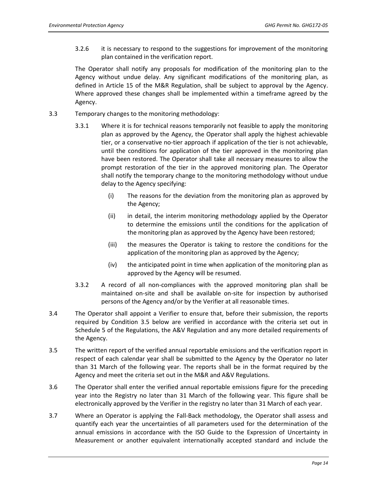3.2.6 it is necessary to respond to the suggestions for improvement of the monitoring plan contained in the verification report.

The Operator shall notify any proposals for modification of the monitoring plan to the Agency without undue delay. Any significant modifications of the monitoring plan, as defined in Article 15 of the M&R Regulation, shall be subject to approval by the Agency. Where approved these changes shall be implemented within a timeframe agreed by the Agency.

- 3.3 Temporary changes to the monitoring methodology:
	- 3.3.1 Where it is for technical reasons temporarily not feasible to apply the monitoring plan as approved by the Agency, the Operator shall apply the highest achievable tier, or a conservative no-tier approach if application of the tier is not achievable, until the conditions for application of the tier approved in the monitoring plan have been restored. The Operator shall take all necessary measures to allow the prompt restoration of the tier in the approved monitoring plan. The Operator shall notify the temporary change to the monitoring methodology without undue delay to the Agency specifying:
		- (i) The reasons for the deviation from the monitoring plan as approved by the Agency;
		- (ii) in detail, the interim monitoring methodology applied by the Operator to determine the emissions until the conditions for the application of the monitoring plan as approved by the Agency have been restored;
		- (iii) the measures the Operator is taking to restore the conditions for the application of the monitoring plan as approved by the Agency;
		- (iv) the anticipated point in time when application of the monitoring plan as approved by the Agency will be resumed.
	- 3.3.2 A record of all non-compliances with the approved monitoring plan shall be maintained on-site and shall be available on-site for inspection by authorised persons of the Agency and/or by the Verifier at all reasonable times.
- 3.4 The Operator shall appoint a Verifier to ensure that, before their submission, the reports required by Condition 3.5 below are verified in accordance with the criteria set out in Schedule 5 of the Regulations, the A&V Regulation and any more detailed requirements of the Agency.
- 3.5 The written report of the verified annual reportable emissions and the verification report in respect of each calendar year shall be submitted to the Agency by the Operator no later than 31 March of the following year. The reports shall be in the format required by the Agency and meet the criteria set out in the M&R and A&V Regulations.
- 3.6 The Operator shall enter the verified annual reportable emissions figure for the preceding year into the Registry no later than 31 March of the following year. This figure shall be electronically approved by the Verifier in the registry no later than 31 March of each year.
- 3.7 Where an Operator is applying the Fall-Back methodology, the Operator shall assess and quantify each year the uncertainties of all parameters used for the determination of the annual emissions in accordance with the ISO Guide to the Expression of Uncertainty in Measurement or another equivalent internationally accepted standard and include the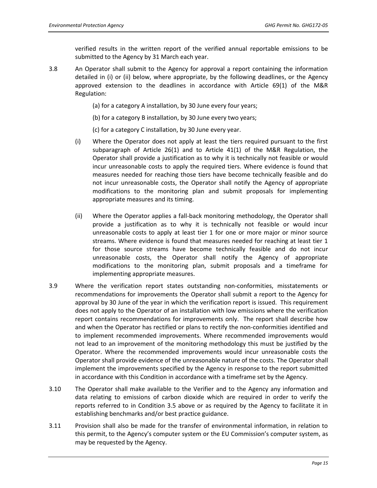verified results in the written report of the verified annual reportable emissions to be submitted to the Agency by 31 March each year.

- 3.8 An Operator shall submit to the Agency for approval a report containing the information detailed in (i) or (ii) below, where appropriate, by the following deadlines, or the Agency approved extension to the deadlines in accordance with Article 69(1) of the M&R Regulation:
	- (a) for a category A installation, by 30 June every four years;
	- (b) for a category B installation, by 30 June every two years;
	- (c) for a category C installation, by 30 June every year.
	- (i) Where the Operator does not apply at least the tiers required pursuant to the first subparagraph of Article 26(1) and to Article 41(1) of the M&R Regulation, the Operator shall provide a justification as to why it is technically not feasible or would incur unreasonable costs to apply the required tiers. Where evidence is found that measures needed for reaching those tiers have become technically feasible and do not incur unreasonable costs, the Operator shall notify the Agency of appropriate modifications to the monitoring plan and submit proposals for implementing appropriate measures and its timing.
	- (ii) Where the Operator applies a fall-back monitoring methodology, the Operator shall provide a justification as to why it is technically not feasible or would incur unreasonable costs to apply at least tier 1 for one or more major or minor source streams. Where evidence is found that measures needed for reaching at least tier 1 for those source streams have become technically feasible and do not incur unreasonable costs, the Operator shall notify the Agency of appropriate modifications to the monitoring plan, submit proposals and a timeframe for implementing appropriate measures.
- 3.9 Where the verification report states outstanding non-conformities, misstatements or recommendations for improvements the Operator shall submit a report to the Agency for approval by 30 June of the year in which the verification report is issued. This requirement does not apply to the Operator of an installation with low emissions where the verification report contains recommendations for improvements only. The report shall describe how and when the Operator has rectified or plans to rectify the non-conformities identified and to implement recommended improvements. Where recommended improvements would not lead to an improvement of the monitoring methodology this must be justified by the Operator. Where the recommended improvements would incur unreasonable costs the Operator shall provide evidence of the unreasonable nature of the costs. The Operator shall implement the improvements specified by the Agency in response to the report submitted in accordance with this Condition in accordance with a timeframe set by the Agency.
- 3.10 The Operator shall make available to the Verifier and to the Agency any information and data relating to emissions of carbon dioxide which are required in order to verify the reports referred to in Condition 3.5 above or as required by the Agency to facilitate it in establishing benchmarks and/or best practice guidance.
- 3.11 Provision shall also be made for the transfer of environmental information, in relation to this permit, to the Agency's computer system or the EU Commission's computer system, as may be requested by the Agency.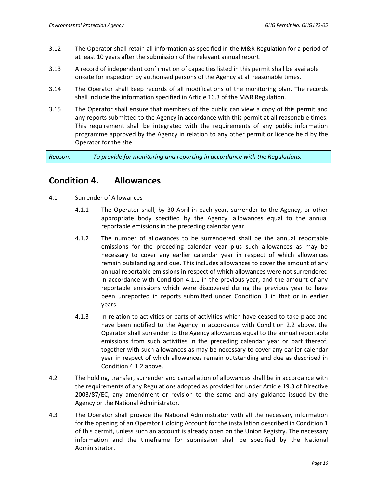- 3.12 The Operator shall retain all information as specified in the M&R Regulation for a period of at least 10 years after the submission of the relevant annual report.
- 3.13 A record of independent confirmation of capacities listed in this permit shall be available on-site for inspection by authorised persons of the Agency at all reasonable times.
- 3.14 The Operator shall keep records of all modifications of the monitoring plan. The records shall include the information specified in Article 16.3 of the M&R Regulation.
- 3.15 The Operator shall ensure that members of the public can view a copy of this permit and any reports submitted to the Agency in accordance with this permit at all reasonable times. This requirement shall be integrated with the requirements of any public information programme approved by the Agency in relation to any other permit or licence held by the Operator for the site.

*Reason: To provide for monitoring and reporting in accordance with the Regulations.* 

# **Condition 4. Allowances**

- 4.1 Surrender of Allowances
	- 4.1.1 The Operator shall, by 30 April in each year, surrender to the Agency, or other appropriate body specified by the Agency, allowances equal to the annual reportable emissions in the preceding calendar year.
	- 4.1.2 The number of allowances to be surrendered shall be the annual reportable emissions for the preceding calendar year plus such allowances as may be necessary to cover any earlier calendar year in respect of which allowances remain outstanding and due. This includes allowances to cover the amount of any annual reportable emissions in respect of which allowances were not surrendered in accordance with Condition 4.1.1 in the previous year, and the amount of any reportable emissions which were discovered during the previous year to have been unreported in reports submitted under Condition 3 in that or in earlier years.
	- 4.1.3 In relation to activities or parts of activities which have ceased to take place and have been notified to the Agency in accordance with Condition 2.2 above, the Operator shall surrender to the Agency allowances equal to the annual reportable emissions from such activities in the preceding calendar year or part thereof, together with such allowances as may be necessary to cover any earlier calendar year in respect of which allowances remain outstanding and due as described in Condition 4.1.2 above.
- 4.2 The holding, transfer, surrender and cancellation of allowances shall be in accordance with the requirements of any Regulations adopted as provided for under Article 19.3 of Directive 2003/87/EC, any amendment or revision to the same and any guidance issued by the Agency or the National Administrator.
- 4.3 The Operator shall provide the National Administrator with all the necessary information for the opening of an Operator Holding Account for the installation described in Condition 1 of this permit, unless such an account is already open on the Union Registry. The necessary information and the timeframe for submission shall be specified by the National Administrator.